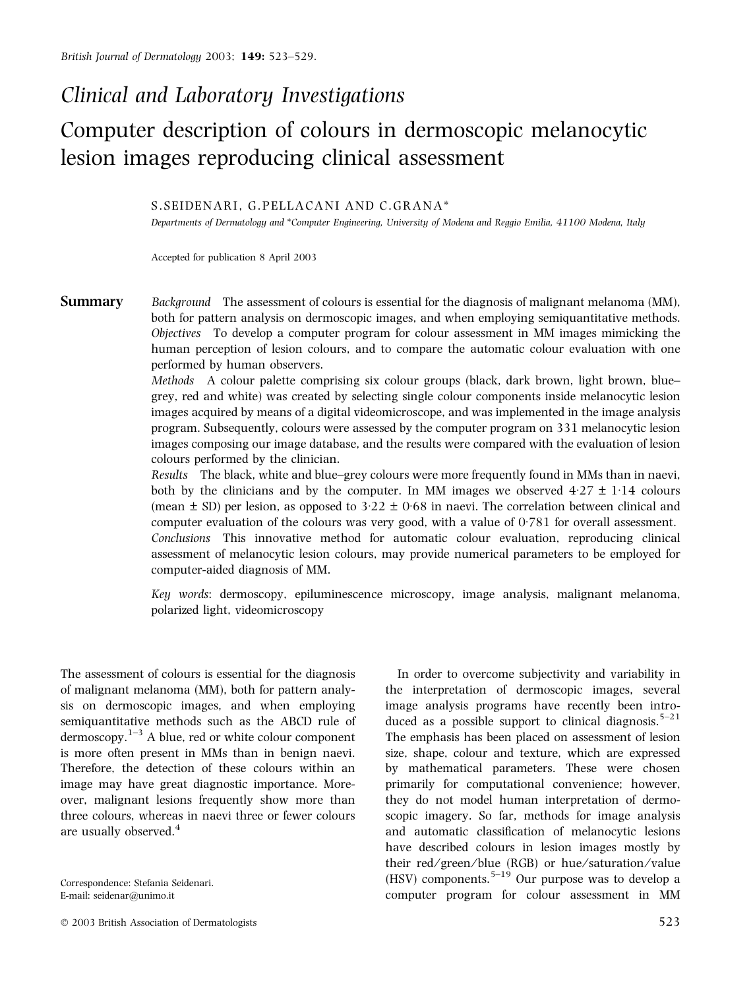# Clinical and Laboratory Investigations

# Computer description of colours in dermoscopic melanocytic lesion images reproducing clinical assessment

#### S.SEIDENARI, G.PELLACANI AND C.GRANA\*

Departments of Dermatology and \*Computer Engineering, University of Modena and Reggio Emilia, 41100 Modena, Italy

Accepted for publication 8 April 2003

**Summary** Background The assessment of colours is essential for the diagnosis of malignant melanoma (MM), both for pattern analysis on dermoscopic images, and when employing semiquantitative methods. Objectives To develop a computer program for colour assessment in MM images mimicking the human perception of lesion colours, and to compare the automatic colour evaluation with one performed by human observers.

> Methods A colour palette comprising six colour groups (black, dark brown, light brown, blue– grey, red and white) was created by selecting single colour components inside melanocytic lesion images acquired by means of a digital videomicroscope, and was implemented in the image analysis program. Subsequently, colours were assessed by the computer program on 331 melanocytic lesion images composing our image database, and the results were compared with the evaluation of lesion colours performed by the clinician.

> Results The black, white and blue–grey colours were more frequently found in MMs than in naevi, both by the clinicians and by the computer. In MM images we observed  $4.27 \pm 1.14$  colours (mean  $\pm$  SD) per lesion, as opposed to 3.22  $\pm$  0.68 in naevi. The correlation between clinical and computer evaluation of the colours was very good, with a value of  $0.781$  for overall assessment. Conclusions This innovative method for automatic colour evaluation, reproducing clinical assessment of melanocytic lesion colours, may provide numerical parameters to be employed for computer-aided diagnosis of MM.

> Key words: dermoscopy, epiluminescence microscopy, image analysis, malignant melanoma, polarized light, videomicroscopy

The assessment of colours is essential for the diagnosis of malignant melanoma (MM), both for pattern analysis on dermoscopic images, and when employing semiquantitative methods such as the ABCD rule of dermoscopy. $1-3$  A blue, red or white colour component is more often present in MMs than in benign naevi. Therefore, the detection of these colours within an image may have great diagnostic importance. Moreover, malignant lesions frequently show more than three colours, whereas in naevi three or fewer colours are usually observed.<sup>4</sup>

In order to overcome subjectivity and variability in the interpretation of dermoscopic images, several image analysis programs have recently been introduced as a possible support to clinical diagnosis.<sup>5–21</sup> The emphasis has been placed on assessment of lesion size, shape, colour and texture, which are expressed by mathematical parameters. These were chosen primarily for computational convenience; however, they do not model human interpretation of dermoscopic imagery. So far, methods for image analysis and automatic classification of melanocytic lesions have described colours in lesion images mostly by their red/green/blue (RGB) or hue/saturation/value (HSV) components.<sup>5–19</sup> Our purpose was to develop a computer program for colour assessment in MM

Correspondence: Stefania Seidenari. E-mail: seidenar@unimo.it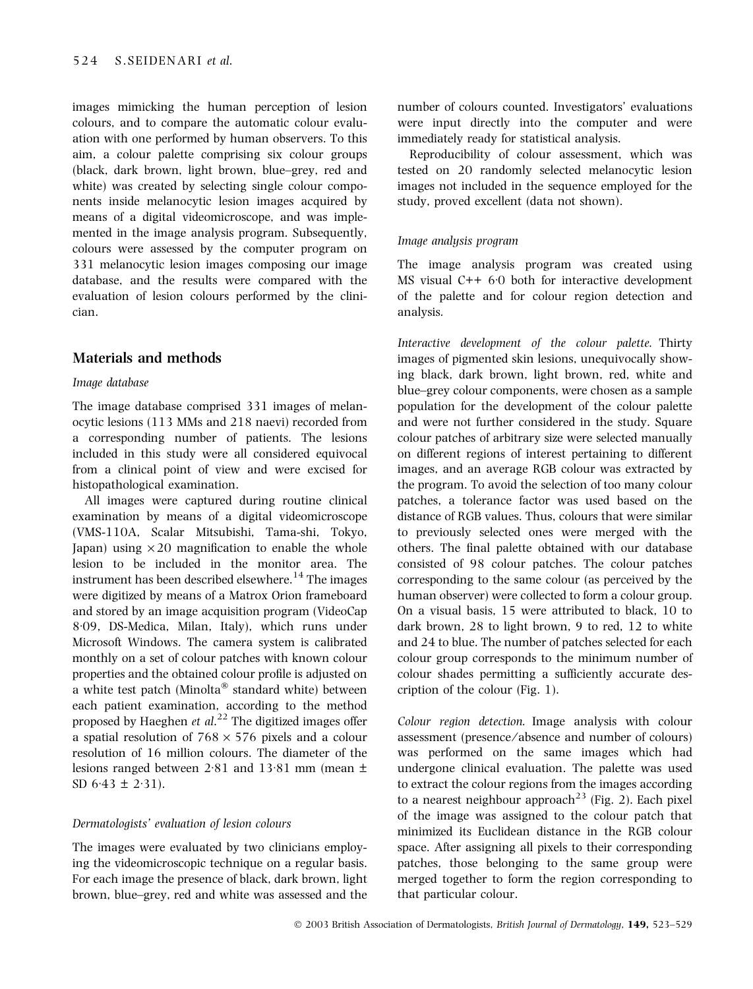images mimicking the human perception of lesion colours, and to compare the automatic colour evaluation with one performed by human observers. To this aim, a colour palette comprising six colour groups (black, dark brown, light brown, blue–grey, red and white) was created by selecting single colour components inside melanocytic lesion images acquired by means of a digital videomicroscope, and was implemented in the image analysis program. Subsequently, colours were assessed by the computer program on 331 melanocytic lesion images composing our image database, and the results were compared with the evaluation of lesion colours performed by the clinician.

### Materials and methods

#### Image database

The image database comprised 331 images of melanocytic lesions (113 MMs and 218 naevi) recorded from a corresponding number of patients. The lesions included in this study were all considered equivocal from a clinical point of view and were excised for histopathological examination.

All images were captured during routine clinical examination by means of a digital videomicroscope (VMS-110A, Scalar Mitsubishi, Tama-shi, Tokyo, Japan) using  $\times$  20 magnification to enable the whole lesion to be included in the monitor area. The instrument has been described elsewhere.<sup>14</sup> The images were digitized by means of a Matrox Orion frameboard and stored by an image acquisition program (VideoCap 8.09, DS-Medica, Milan, Italy), which runs under Microsoft Windows. The camera system is calibrated monthly on a set of colour patches with known colour properties and the obtained colour profile is adjusted on a white test patch (Minolta $\mathscr P$  standard white) between each patient examination, according to the method proposed by Haeghen et  $al.^{22}$  The digitized images offer a spatial resolution of  $768 \times 576$  pixels and a colour resolution of 16 million colours. The diameter of the lesions ranged between 2.81 and 13.81 mm (mean  $\pm$ SD 6.43  $\pm$  2.31).

#### Dermatologists' evaluation of lesion colours

The images were evaluated by two clinicians employing the videomicroscopic technique on a regular basis. For each image the presence of black, dark brown, light brown, blue–grey, red and white was assessed and the number of colours counted. Investigators' evaluations were input directly into the computer and were immediately ready for statistical analysis.

Reproducibility of colour assessment, which was tested on 20 randomly selected melanocytic lesion images not included in the sequence employed for the study, proved excellent (data not shown).

#### Image analysis program

The image analysis program was created using MS visual  $C++60$  both for interactive development of the palette and for colour region detection and analysis.

Interactive development of the colour palette. Thirty images of pigmented skin lesions, unequivocally showing black, dark brown, light brown, red, white and blue–grey colour components, were chosen as a sample population for the development of the colour palette and were not further considered in the study. Square colour patches of arbitrary size were selected manually on different regions of interest pertaining to different images, and an average RGB colour was extracted by the program. To avoid the selection of too many colour patches, a tolerance factor was used based on the distance of RGB values. Thus, colours that were similar to previously selected ones were merged with the others. The final palette obtained with our database consisted of 98 colour patches. The colour patches corresponding to the same colour (as perceived by the human observer) were collected to form a colour group. On a visual basis, 15 were attributed to black, 10 to dark brown, 28 to light brown, 9 to red, 12 to white and 24 to blue. The number of patches selected for each colour group corresponds to the minimum number of colour shades permitting a sufficiently accurate description of the colour (Fig. 1).

Colour region detection. Image analysis with colour assessment (presence ⁄ absence and number of colours) was performed on the same images which had undergone clinical evaluation. The palette was used to extract the colour regions from the images according to a nearest neighbour approach<sup>23</sup> (Fig. 2). Each pixel of the image was assigned to the colour patch that minimized its Euclidean distance in the RGB colour space. After assigning all pixels to their corresponding patches, those belonging to the same group were merged together to form the region corresponding to that particular colour.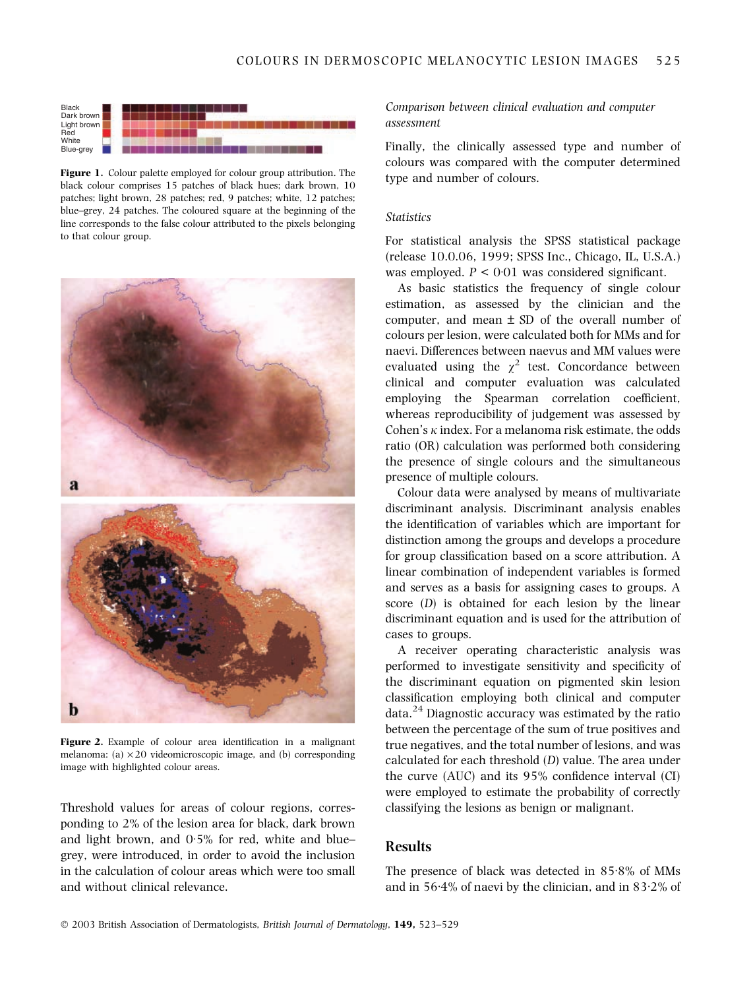

Figure 1. Colour palette employed for colour group attribution. The black colour comprises 15 patches of black hues; dark brown, 10 patches; light brown, 28 patches; red, 9 patches; white, 12 patches; blue–grey, 24 patches. The coloured square at the beginning of the line corresponds to the false colour attributed to the pixels belonging to that colour group.



Figure 2. Example of colour area identification in a malignant melanoma: (a)  $\times$  20 videomicroscopic image, and (b) corresponding image with highlighted colour areas.

Threshold values for areas of colour regions, corresponding to 2% of the lesion area for black, dark brown and light brown, and  $0.5\%$  for red, white and blue– grey, were introduced, in order to avoid the inclusion in the calculation of colour areas which were too small and without clinical relevance.

### Comparison between clinical evaluation and computer assessment

Finally, the clinically assessed type and number of colours was compared with the computer determined type and number of colours.

#### **Statistics**

For statistical analysis the SPSS statistical package (release 10.0.06, 1999; SPSS Inc., Chicago, IL, U.S.A.) was employed.  $P \leq 0.01$  was considered significant.

As basic statistics the frequency of single colour estimation, as assessed by the clinician and the computer, and mean  $\pm$  SD of the overall number of colours per lesion, were calculated both for MMs and for naevi. Differences between naevus and MM values were evaluated using the  $\chi^2$  test. Concordance between clinical and computer evaluation was calculated employing the Spearman correlation coefficient, whereas reproducibility of judgement was assessed by Cohen's  $\kappa$  index. For a melanoma risk estimate, the odds ratio (OR) calculation was performed both considering the presence of single colours and the simultaneous presence of multiple colours.

Colour data were analysed by means of multivariate discriminant analysis. Discriminant analysis enables the identification of variables which are important for distinction among the groups and develops a procedure for group classification based on a score attribution. A linear combination of independent variables is formed and serves as a basis for assigning cases to groups. A score (D) is obtained for each lesion by the linear discriminant equation and is used for the attribution of cases to groups.

A receiver operating characteristic analysis was performed to investigate sensitivity and specificity of the discriminant equation on pigmented skin lesion classification employing both clinical and computer  $data.<sup>24</sup>$  Diagnostic accuracy was estimated by the ratio between the percentage of the sum of true positives and true negatives, and the total number of lesions, and was calculated for each threshold (D) value. The area under the curve (AUC) and its 95% confidence interval (CI) were employed to estimate the probability of correctly classifying the lesions as benign or malignant.

# Results

The presence of black was detected in  $85.8\%$  of MMs and in  $56·4%$  of naevi by the clinician, and in  $83·2%$  of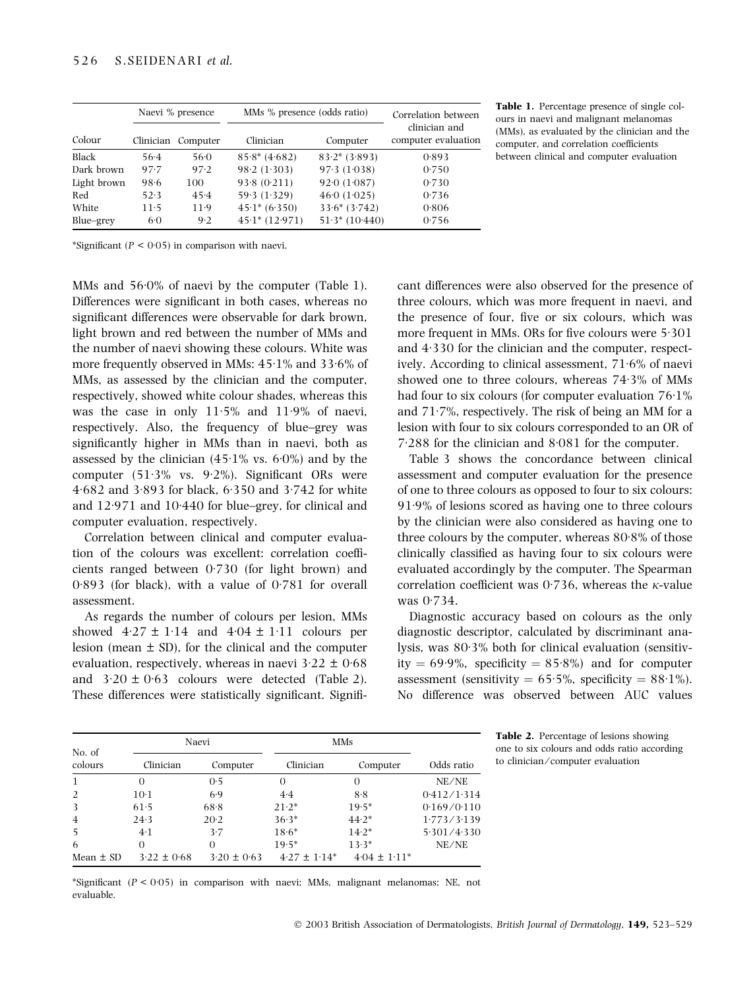|              | Naevi % presence |                    | MMs % presence (odds ratio)  | Correlation between          |                                      |
|--------------|------------------|--------------------|------------------------------|------------------------------|--------------------------------------|
| Colour       |                  | Clinician Computer | Clinician                    | Computer                     | clinician and<br>computer evaluation |
| <b>Black</b> | $56-4$           | 56.0               | $85.8* (4.682)$              | $83.2* (3.893)$              | 0.893                                |
| Dark brown   | 97.7             | 97.2               | 98.2(1.303)                  | 97.3(1.038)                  | 0.750                                |
| Light brown  | 98.6             | 100                | 93.8(0.211)                  | $92 \cdot 0$ $(1 \cdot 087)$ | 0.730                                |
| Red          | 52.3             | 45.4               | 59.3(1.329)                  | 460(1.025)                   | 0.736                                |
| White        | $11-5$           | $11-9$             | $45.1* (6.350)$              | $33.6*(3.742)$               | 0.806                                |
| Blue-grey    | $6-0$            | 9.2                | $45 \cdot 1* (12 \cdot 971)$ | $51.3* (10.440)$             | 0.756                                |

Table 1. Percentage presence of single colours in naevi and malignant melanomas (MMs), as evaluated by the clinician and the computer, and correlation coefficients between clinical and computer evaluation

\*Significant ( $P < 0.05$ ) in comparison with naevi.

MMs and  $56.0\%$  of naevi by the computer (Table 1). Differences were significant in both cases, whereas no significant differences were observable for dark brown, light brown and red between the number of MMs and the number of naevi showing these colours. White was more frequently observed in MMs:  $45·1%$  and  $33·6%$  of MMs, as assessed by the clinician and the computer, respectively, showed white colour shades, whereas this was the case in only  $11.5\%$  and  $11.9\%$  of naevi, respectively. Also, the frequency of blue–grey was significantly higher in MMs than in naevi, both as assessed by the clinician  $(45.1\% \text{ vs. } 6.0\%)$  and by the computer  $(51.3\%$  vs. 9.2%). Significant ORs were  $4.682$  and  $3.893$  for black,  $6.350$  and  $3.742$  for white and  $12.971$  and  $10.440$  for blue–grey, for clinical and computer evaluation, respectively.

Correlation between clinical and computer evaluation of the colours was excellent: correlation coefficients ranged between  $0.730$  (for light brown) and  $0.893$  (for black), with a value of  $0.781$  for overall assessment.

As regards the number of colours per lesion, MMs showed  $4.27 \pm 1.14$  and  $4.04 \pm 1.11$  colours per lesion (mean  $\pm$  SD), for the clinical and the computer evaluation, respectively, whereas in naevi  $3.22 \pm 0.68$ and  $3.20 \pm 0.63$  colours were detected (Table 2). These differences were statistically significant. Signifi-

cant differences were also observed for the presence of three colours, which was more frequent in naevi, and the presence of four, five or six colours, which was more frequent in MMs. ORs for five colours were  $5:301$ and  $4.330$  for the clinician and the computer, respectively. According to clinical assessment,  $71.6%$  of naevi showed one to three colours, whereas  $74.3\%$  of MMs had four to six colours (for computer evaluation  $76·1%$ and  $71.7\%$ , respectively. The risk of being an MM for a lesion with four to six colours corresponded to an OR of  $7.288$  for the clinician and  $8.081$  for the computer.

Table 3 shows the concordance between clinical assessment and computer evaluation for the presence of one to three colours as opposed to four to six colours:  $91.9%$  of lesions scored as having one to three colours by the clinician were also considered as having one to three colours by the computer, whereas  $80.8\%$  of those clinically classified as having four to six colours were evaluated accordingly by the computer. The Spearman correlation coefficient was 0.736, whereas the  $\kappa$ -value was  $0.734$ .

Diagnostic accuracy based on colours as the only diagnostic descriptor, calculated by discriminant analysis, was 80.3% both for clinical evaluation (sensitivity  $= 69.9\%$ , specificity  $= 85.8\%$  and for computer assessment (sensitivity =  $65.5\%$ , specificity =  $88.1\%$ ). No difference was observed between AUC values

|                   | Naevi           |                 | MMs              |                  |             |
|-------------------|-----------------|-----------------|------------------|------------------|-------------|
| No. of<br>colours | Clinician       | Computer        | Clinician        | Computer         | Odds ratio  |
| -1                | $\Omega$        | 0.5             | $\Omega$         | $\Omega$         | NE/NE       |
| 2                 | $10-1$          | 6.9             | 4.4              | 8.8              | 0.412/1.314 |
| 3                 | 61.5            | 68.8            | $21.2*$          | $19.5*$          | 0.169/0.110 |
| $\overline{4}$    | 24.3            | 20.2            | $36.3*$          | $44.2*$          | 1.773/3.139 |
| 5                 | $4-1$           | 3.7             | $18.6*$          | $14.2*$          | 5.301/4.330 |
| 6                 | $\Omega$        | $\Omega$        | $19.5*$          | $13.3*$          | NE/NE       |
| Mean $\pm$ SD     | $3.22 \pm 0.68$ | $3.20 \pm 0.63$ | $4.27 \pm 1.14*$ | $4.04 \pm 1.11*$ |             |

Table 2. Percentage of lesions showing one to six colours and odds ratio according to clinician ⁄ computer evaluation

\*Significant  $(P < 0.05)$  in comparison with naevi; MMs, malignant melanomas; NE, not evaluable.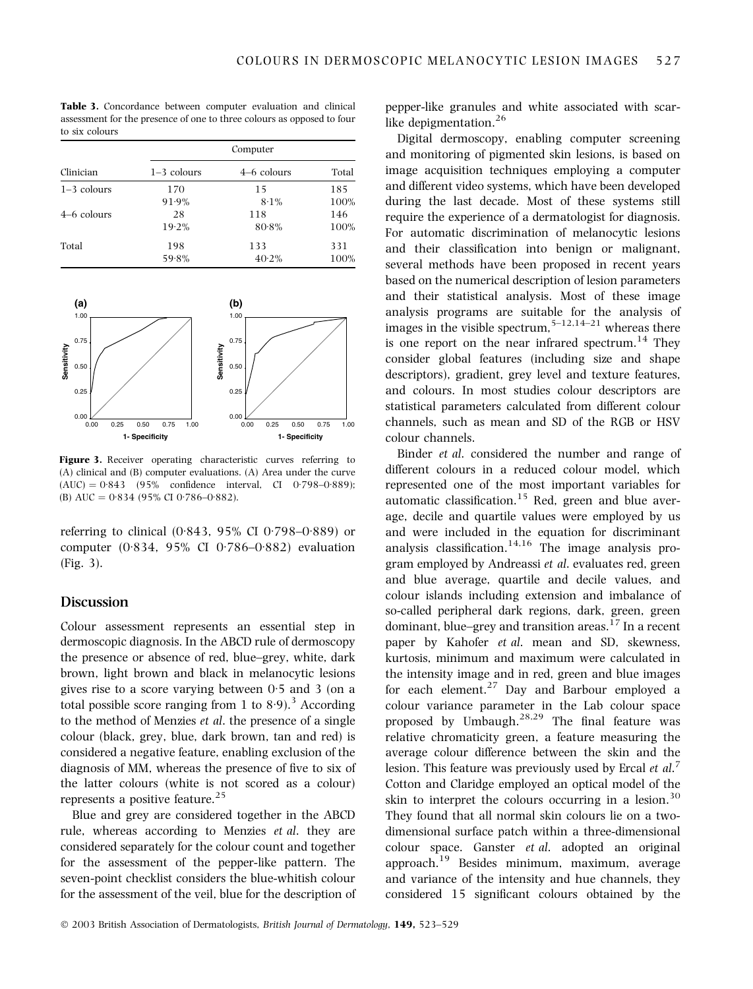Table 3. Concordance between computer evaluation and clinical assessment for the presence of one to three colours as opposed to four to six colours

|               | Computer      |             |       |  |  |
|---------------|---------------|-------------|-------|--|--|
| Clinician     | $1-3$ colours | 4–6 colours | Total |  |  |
| $1-3$ colours | 170           | 15          | 185   |  |  |
|               | 91.9%         | $8.1\%$     | 100%  |  |  |
| 4–6 colours   | 28            | 118         | 146   |  |  |
|               | 19.2%         | 80.8%       | 100%  |  |  |
| Total         | 198           | 133         | 331   |  |  |
|               | 59.8%         | 40.2%       | 100%  |  |  |



Figure 3. Receiver operating characteristic curves referring to (A) clinical and (B) computer evaluations. (A) Area under the curve  $(AUC) = 0.843$  (95% confidence interval, CI 0.798–0.889); (B) AUC =  $0.834$  (95% CI 0.786–0.882).

referring to clinical  $(0.843, 95\% \text{ CI } 0.798 - 0.889)$  or computer (0.834, 95% CI 0.786–0.882) evaluation (Fig. 3).

#### **Discussion**

Colour assessment represents an essential step in dermoscopic diagnosis. In the ABCD rule of dermoscopy the presence or absence of red, blue–grey, white, dark brown, light brown and black in melanocytic lesions gives rise to a score varying between  $0.5$  and 3 (on a total possible score ranging from 1 to  $8.9$ ).<sup>3</sup> According to the method of Menzies et al. the presence of a single colour (black, grey, blue, dark brown, tan and red) is considered a negative feature, enabling exclusion of the diagnosis of MM, whereas the presence of five to six of the latter colours (white is not scored as a colour) represents a positive feature.<sup>25</sup>

Blue and grey are considered together in the ABCD rule, whereas according to Menzies et al. they are considered separately for the colour count and together for the assessment of the pepper-like pattern. The seven-point checklist considers the blue-whitish colour for the assessment of the veil, blue for the description of

pepper-like granules and white associated with scarlike depigmentation.<sup>26</sup>

Digital dermoscopy, enabling computer screening and monitoring of pigmented skin lesions, is based on image acquisition techniques employing a computer and different video systems, which have been developed during the last decade. Most of these systems still require the experience of a dermatologist for diagnosis. For automatic discrimination of melanocytic lesions and their classification into benign or malignant, several methods have been proposed in recent years based on the numerical description of lesion parameters and their statistical analysis. Most of these image analysis programs are suitable for the analysis of images in the visible spectrum,  $5-12,14-21$  whereas there is one report on the near infrared spectrum.<sup>14</sup> They consider global features (including size and shape descriptors), gradient, grey level and texture features, and colours. In most studies colour descriptors are statistical parameters calculated from different colour channels, such as mean and SD of the RGB or HSV colour channels.

Binder et al. considered the number and range of different colours in a reduced colour model, which represented one of the most important variables for automatic classification.<sup>15</sup> Red, green and blue average, decile and quartile values were employed by us and were included in the equation for discriminant analysis classification.<sup>14,16</sup> The image analysis program employed by Andreassi et al. evaluates red, green and blue average, quartile and decile values, and colour islands including extension and imbalance of so-called peripheral dark regions, dark, green, green dominant, blue–grey and transition areas. $17$  In a recent paper by Kahofer et al. mean and SD, skewness, kurtosis, minimum and maximum were calculated in the intensity image and in red, green and blue images for each element.<sup>27</sup> Day and Barbour employed a colour variance parameter in the Lab colour space proposed by Umbaugh. $28,29$  The final feature was relative chromaticity green, a feature measuring the average colour difference between the skin and the lesion. This feature was previously used by Ercal  $et \ al.^7$ Cotton and Claridge employed an optical model of the skin to interpret the colours occurring in a lesion.<sup>30</sup> They found that all normal skin colours lie on a twodimensional surface patch within a three-dimensional colour space. Ganster et al. adopted an original approach.<sup>19</sup> Besides minimum, maximum, average and variance of the intensity and hue channels, they considered 15 significant colours obtained by the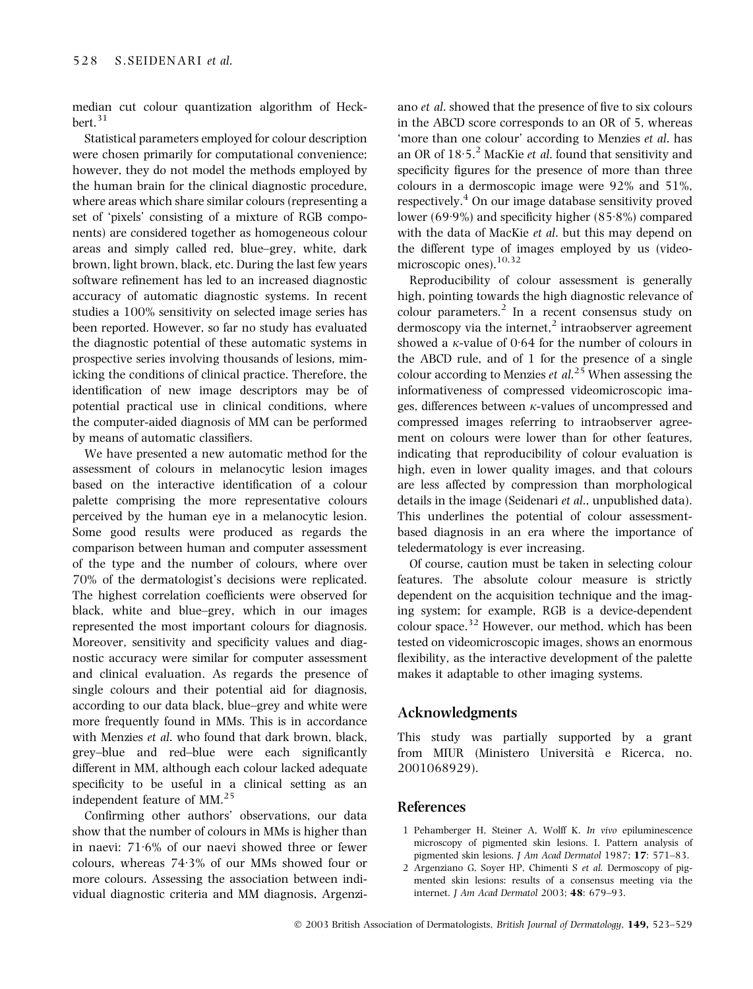median cut colour quantization algorithm of Heck $bert.$ <sup>31</sup>

Statistical parameters employed for colour description were chosen primarily for computational convenience; however, they do not model the methods employed by the human brain for the clinical diagnostic procedure, where areas which share similar colours (representing a set of 'pixels' consisting of a mixture of RGB components) are considered together as homogeneous colour areas and simply called red, blue–grey, white, dark brown, light brown, black, etc. During the last few years software refinement has led to an increased diagnostic accuracy of automatic diagnostic systems. In recent studies a 100% sensitivity on selected image series has been reported. However, so far no study has evaluated the diagnostic potential of these automatic systems in prospective series involving thousands of lesions, mimicking the conditions of clinical practice. Therefore, the identification of new image descriptors may be of potential practical use in clinical conditions, where the computer-aided diagnosis of MM can be performed by means of automatic classifiers.

We have presented a new automatic method for the assessment of colours in melanocytic lesion images based on the interactive identification of a colour palette comprising the more representative colours perceived by the human eye in a melanocytic lesion. Some good results were produced as regards the comparison between human and computer assessment of the type and the number of colours, where over 70% of the dermatologist's decisions were replicated. The highest correlation coefficients were observed for black, white and blue–grey, which in our images represented the most important colours for diagnosis. Moreover, sensitivity and specificity values and diagnostic accuracy were similar for computer assessment and clinical evaluation. As regards the presence of single colours and their potential aid for diagnosis, according to our data black, blue–grey and white were more frequently found in MMs. This is in accordance with Menzies *et al.* who found that dark brown, black, grey–blue and red–blue were each significantly different in MM, although each colour lacked adequate specificity to be useful in a clinical setting as an independent feature of MM.<sup>25</sup>

Confirming other authors' observations, our data show that the number of colours in MMs is higher than in naevi:  $71.6\%$  of our naevi showed three or fewer colours, whereas  $74.3\%$  of our MMs showed four or more colours. Assessing the association between individual diagnostic criteria and MM diagnosis, Argenzi-

ano et al. showed that the presence of five to six colours in the ABCD score corresponds to an OR of 5, whereas 'more than one colour' according to Menzies et al. has an OR of  $18.5$ <sup>2</sup> MacKie *et al.* found that sensitivity and specificity figures for the presence of more than three colours in a dermoscopic image were 92% and 51%, respectively.<sup>4</sup> On our image database sensitivity proved lower (69.9%) and specificity higher (85.8%) compared with the data of MacKie et al. but this may depend on the different type of images employed by us (videomicroscopic ones). $10,32$ 

Reproducibility of colour assessment is generally high, pointing towards the high diagnostic relevance of colour parameters. $<sup>2</sup>$  In a recent consensus study on</sup> dermoscopy via the internet, $\lambda$  intraobserver agreement showed a  $\kappa$ -value of 0.64 for the number of colours in the ABCD rule, and of 1 for the presence of a single colour according to Menzies  $et \ al.^{25}$  When assessing the informativeness of compressed videomicroscopic images, differences between  $\kappa$ -values of uncompressed and compressed images referring to intraobserver agreement on colours were lower than for other features, indicating that reproducibility of colour evaluation is high, even in lower quality images, and that colours are less affected by compression than morphological details in the image (Seidenari *et al.*, unpublished data). This underlines the potential of colour assessmentbased diagnosis in an era where the importance of teledermatology is ever increasing.

Of course, caution must be taken in selecting colour features. The absolute colour measure is strictly dependent on the acquisition technique and the imaging system; for example, RGB is a device-dependent colour space.32 However, our method, which has been tested on videomicroscopic images, shows an enormous flexibility, as the interactive development of the palette makes it adaptable to other imaging systems.

# Acknowledgments

This study was partially supported by a grant from MIUR (Ministero Universita` e Ricerca, no. 2001068929).

# References

- 1 Pehamberger H, Steiner A, Wolff K. In vivo epiluminescence microscopy of pigmented skin lesions. I. Pattern analysis of pigmented skin lesions. J Am Acad Dermatol 1987; 17: 571–83.
- 2 Argenziano G, Soyer HP, Chimenti S et al. Dermoscopy of pigmented skin lesions: results of a consensus meeting via the internet. J Am Acad Dermatol 2003; 48: 679–93.